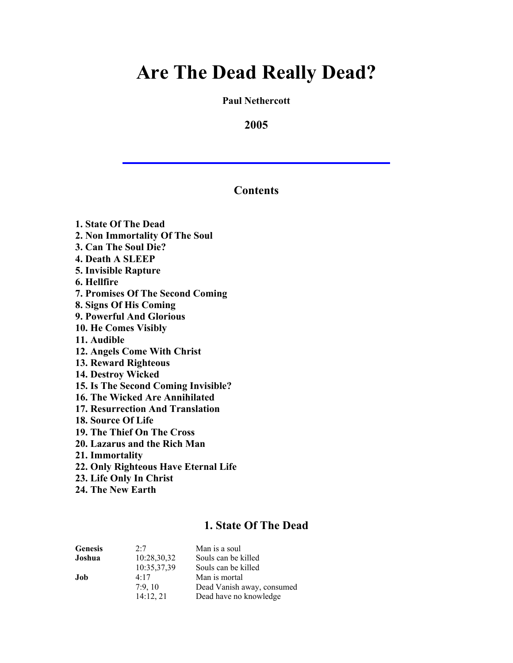**Paul Nethercott**

**2005**

### **Contents**

**1. State Of The Dead 2. Non Immortality Of The Soul 3. Can The Soul Die? 4. Death A SLEEP 5. Invisible Rapture 6. Hellfire 7. Promises Of The Second Coming 8. Signs Of His Coming 9. Powerful And Glorious 10. He Comes Visibly 11. Audible 12. Angels Come With Christ 13. Reward Righteous 14. Destroy Wicked 15. Is The Second Coming Invisible? 16. The Wicked Are Annihilated 17. Resurrection And Translation 18. Source Of Life 19. The Thief On The Cross 20. Lazarus and the Rich Man 21. Immortality 22. Only Righteous Have Eternal Life 23. Life Only In Christ**

**24. The New Earth**

# **1. State Of The Dead**

| <b>Genesis</b> | 2.7         | Man is a soul              |
|----------------|-------------|----------------------------|
| Joshua         | 10:28,30,32 | Souls can be killed        |
|                | 10:35,37,39 | Souls can be killed        |
| Job            | 4.17        | Man is mortal              |
|                | 7:9.10      | Dead Vanish away, consumed |
|                | 14:12, 21   | Dead have no knowledge     |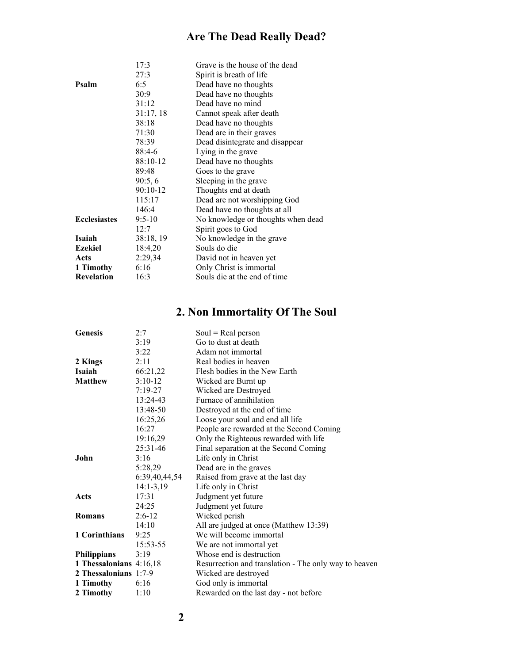| 17:3       | Grave is the house of the dead     |
|------------|------------------------------------|
| 27:3       | Spirit is breath of life           |
| 6:5        | Dead have no thoughts              |
| 30:9       | Dead have no thoughts              |
| 31:12      | Dead have no mind                  |
| 31:17,18   | Cannot speak after death           |
| 38:18      | Dead have no thoughts              |
| 71:30      | Dead are in their graves           |
| 78:39      | Dead disintegrate and disappear    |
| $88:4-6$   | Lying in the grave                 |
| 88:10-12   | Dead have no thoughts              |
| 89:48      | Goes to the grave                  |
| 90:5,6     | Sleeping in the grave              |
| $90:10-12$ | Thoughts end at death              |
| 115:17     | Dead are not worshipping God       |
| 146:4      | Dead have no thoughts at all       |
| $9:5 - 10$ | No knowledge or thoughts when dead |
| 12:7       | Spirit goes to God                 |
| 38:18, 19  | No knowledge in the grave          |
| 18:4,20    | Souls do die                       |
| 2:29,34    | David not in heaven yet            |
| 6:16       | Only Christ is immortal            |
| 16:3       | Souls die at the end of time       |
|            |                                    |

## **2. Non Immortality Of The Soul**

| <b>Genesis</b>          | 2:7           | $Soul = Real person$                                  |
|-------------------------|---------------|-------------------------------------------------------|
|                         | 3:19          | Go to dust at death                                   |
|                         | 3:22          | Adam not immortal                                     |
| 2 Kings                 | 2:11          | Real bodies in heaven                                 |
| <b>Isaiah</b>           | 66:21,22      | Flesh bodies in the New Earth                         |
| <b>Matthew</b>          | $3:10-12$     | Wicked are Burnt up                                   |
|                         | $7:19-27$     | Wicked are Destroyed                                  |
|                         | 13:24-43      | Furnace of annihilation                               |
|                         | 13:48-50      | Destroyed at the end of time                          |
|                         | 16:25,26      | Loose your soul and end all life                      |
|                         | 16:27         | People are rewarded at the Second Coming              |
|                         | 19:16,29      | Only the Righteous rewarded with life                 |
|                         | $25:31-46$    | Final separation at the Second Coming                 |
| John                    | 3:16          | Life only in Christ                                   |
|                         | 5:28,29       | Dead are in the graves                                |
|                         | 6:39,40,44,54 | Raised from grave at the last day                     |
|                         | $14:1-3,19$   | Life only in Christ                                   |
| Acts                    | 17:31         | Judgment yet future                                   |
|                         | 24:25         | Judgment yet future                                   |
| Romans                  | $2:6-12$      | Wicked perish                                         |
|                         | 14:10         | All are judged at once (Matthew 13:39)                |
| 1 Corinthians           | 9:25          | We will become immortal                               |
|                         | 15:53-55      | We are not immortal yet                               |
| <b>Philippians</b>      | 3:19          | Whose end is destruction                              |
| 1 Thessalonians 4:16,18 |               | Resurrection and translation - The only way to heaven |
| 2 Thessalonians 1:7-9   |               | Wicked are destroyed                                  |
| 1 Timothy               | 6:16          | God only is immortal                                  |
| 2 Timothy               | 1:10          | Rewarded on the last day - not before                 |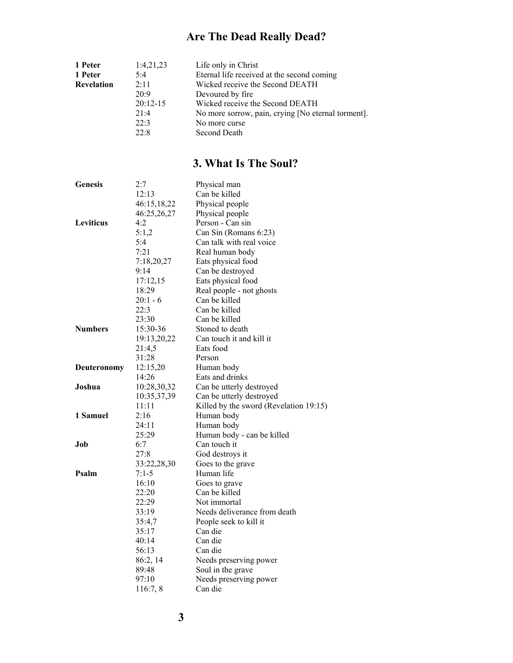| 1 Peter           | 1:4,21,23  | Life only in Christ                                |
|-------------------|------------|----------------------------------------------------|
| 1 Peter           | 5:4        | Eternal life received at the second coming         |
| <b>Revelation</b> | 2:11       | Wicked receive the Second DEATH                    |
|                   | 20:9       | Devoured by fire.                                  |
|                   | $20:12-15$ | Wicked receive the Second DEATH                    |
|                   | 21.4       | No more sorrow, pain, crying [No eternal torment]. |
|                   | 22.3       | No more curse                                      |
|                   | 22:8       | Second Death                                       |

## **3. What Is The Soul?**

| <b>Genesis</b> | 2:7         | Physical man                           |
|----------------|-------------|----------------------------------------|
|                | 12:13       | Can be killed                          |
|                | 46:15,18,22 | Physical people                        |
|                | 46:25,26,27 | Physical people                        |
| Leviticus      | 4:2         | Person - Can sin                       |
|                | 5:1,2       | Can Sin (Romans 6:23)                  |
|                | 5:4         | Can talk with real voice               |
|                | 7:21        | Real human body                        |
|                | 7:18,20,27  | Eats physical food                     |
|                | 9:14        | Can be destroyed                       |
|                | 17:12,15    | Eats physical food                     |
|                | 18:29       | Real people - not ghosts               |
|                | $20:1 - 6$  | Can be killed                          |
|                | 22:3        | Can be killed                          |
|                | 23:30       | Can be killed                          |
| <b>Numbers</b> | 15:30-36    | Stoned to death                        |
|                | 19:13,20,22 | Can touch it and kill it               |
|                | 21:4,5      | Eats food                              |
|                | 31:28       | Person                                 |
| Deuteronomy    | 12:15,20    | Human body                             |
|                | 14:26       | Eats and drinks                        |
| Joshua         | 10:28,30,32 | Can be utterly destroyed               |
|                | 10:35,37,39 | Can be utterly destroyed               |
|                | 11:11       | Killed by the sword (Revelation 19:15) |
| 1 Samuel       | 2:16        | Human body                             |
|                | 24:11       | Human body                             |
|                | 25:29       | Human body - can be killed             |
| Job            | 6:7         | Can touch it                           |
|                | 27:8        | God destroys it                        |
|                | 33:22,28,30 | Goes to the grave                      |
| Psalm          | $7:1-5$     | Human life                             |
|                | 16:10       | Goes to grave                          |
|                | 22:20       | Can be killed                          |
|                | 22:29       | Not immortal                           |
|                | 33:19       | Needs deliverance from death           |
|                | 35:4,7      | People seek to kill it                 |
|                | 35:17       | Can die                                |
|                | 40:14       | Can die                                |
|                | 56:13       | Can die                                |
|                | 86:2, 14    | Needs preserving power                 |
|                | 89:48       | Soul in the grave                      |
|                | 97:10       | Needs preserving power                 |
|                | 116:7, 8    | Can die                                |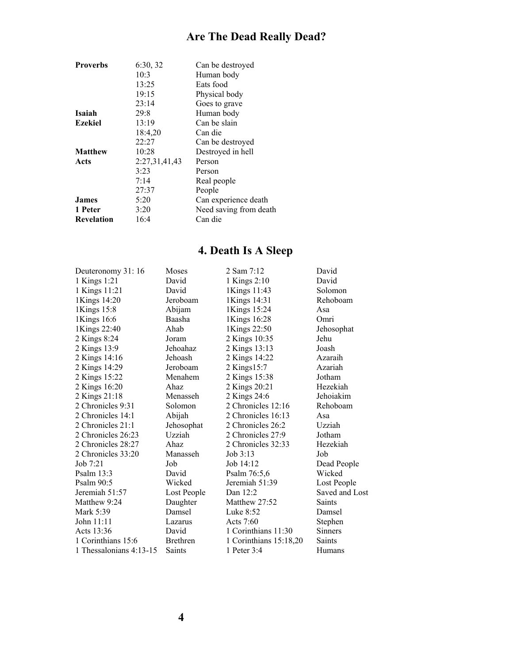| <b>Proverbs</b>   | 6:30, 32      | Can be destroyed       |
|-------------------|---------------|------------------------|
|                   | 10:3          | Human body             |
|                   | 13:25         | Eats food              |
|                   | 19:15         | Physical body          |
|                   | 23:14         | Goes to grave          |
| Isaiah            | 29:8          | Human body             |
| <b>Ezekiel</b>    | 13:19         | Can be slain           |
|                   | 18:4,20       | Can die                |
|                   | 22:27         | Can be destroyed       |
| <b>Matthew</b>    | 10:28         | Destroyed in hell      |
| Acts              | 2:27,31,41,43 | Person                 |
|                   | 3:23          | Person                 |
|                   | 7:14          | Real people            |
|                   | 27:37         | People                 |
| <b>James</b>      | 5:20          | Can experience death   |
| 1 Peter           | 3:20          | Need saving from death |
| <b>Revelation</b> | 16:4          | Can die                |
|                   |               |                        |

## **4. Death Is A Sleep**

| Deuteronomy 31:16       | Moses           | 2 Sam 7:12               | David          |
|-------------------------|-----------------|--------------------------|----------------|
| 1 Kings 1:21            | David           | 1 Kings 2:10             | David          |
| 1 Kings 11:21           | David           | 1Kings 11:43             | Solomon        |
| 1Kings 14:20            | Jeroboam        | 1Kings 14:31             | Rehoboam       |
| 1Kings 15:8             | Abijam          | 1Kings 15:24             | Asa            |
| 1Kings 16:6             | Baasha          | 1Kings 16:28             | Omri           |
| 1Kings 22:40            | Ahab            | 1Kings 22:50             | Jehosophat     |
| 2 Kings 8:24            | Joram           | 2 Kings 10:35            | Jehu           |
| 2 Kings 13:9            | Jehoahaz        | 2 Kings 13:13            | Joash          |
| 2 Kings 14:16           | Jehoash         | 2 Kings 14:22            | Azaraih        |
| 2 Kings 14:29           | Jeroboam        | 2 Kings15:7              | Azariah        |
| 2 Kings 15:22           | Menahem         | 2 Kings 15:38            | Jotham         |
| 2 Kings 16:20           | Ahaz            | 2 Kings 20:21            | Hezekiah       |
| 2 Kings 21:18           | Menasseh        | 2 Kings 24:6             | Jehoiakim      |
| 2 Chronicles 9:31       | Solomon         | 2 Chronicles 12:16       | Rehoboam       |
| 2 Chronicles 14:1       | Abijah          | 2 Chronicles 16:13       | Asa            |
| 2 Chronicles 21:1       | Jehosophat      | 2 Chronicles 26:2        | Uzziah         |
| 2 Chronicles 26:23      | Uzziah          | 2 Chronicles 27:9        | Jotham         |
| 2 Chronicles 28:27      | Ahaz            | 2 Chronicles 32:33       | Hezekiah       |
| 2 Chronicles 33:20      | Manasseh        | Job 3:13                 | Job            |
| Job $7:21$              | Job             | Job 14:12                | Dead People    |
| Psalm $13:3$            | David           | Psalm 76:5,6             | Wicked         |
| Psalm 90:5              | Wicked          | Jeremiah 51:39           | Lost People    |
| Jeremiah 51:57          | Lost People     | Dan 12:2                 | Saved and Lost |
| Matthew 9:24            | Daughter        | Matthew 27:52            | <b>Saints</b>  |
| Mark 5:39               | Damsel          | Luke 8:52                | Damsel         |
| John 11:11              | Lazarus         | Acts $7:60$              | Stephen        |
| Acts 13:36              | David           | 1 Corinthians 11:30      | <b>Sinners</b> |
| 1 Corinthians 15:6      | <b>Brethren</b> | 1 Corinthians $15:18,20$ | Saints         |
| 1 Thessalonians 4:13-15 | <b>Saints</b>   | 1 Peter $3:4$            | Humans         |
|                         |                 |                          |                |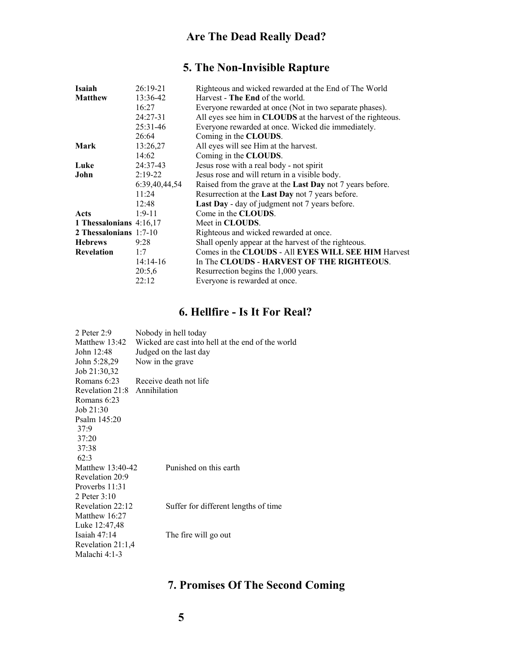## **5. The Non-Invisible Rapture**

| Isaiah                  | $26:19-21$    | Righteous and wicked rewarded at the End of The World            |
|-------------------------|---------------|------------------------------------------------------------------|
| <b>Matthew</b>          | 13:36-42      | Harvest - The End of the world.                                  |
|                         | 16:27         | Everyone rewarded at once (Not in two separate phases).          |
|                         | $24:27-31$    | All eyes see him in CLOUDS at the harvest of the righteous.      |
|                         | $25:31-46$    | Everyone rewarded at once. Wicked die immediately.               |
|                         | 26:64         | Coming in the CLOUDS.                                            |
| Mark                    | 13:26,27      | All eyes will see Him at the harvest.                            |
|                         | 14:62         | Coming in the CLOUDS.                                            |
| Luke                    | 24:37-43      | Jesus rose with a real body - not spirit                         |
| John                    | $2:19-22$     | Jesus rose and will return in a visible body.                    |
|                         | 6:39,40,44,54 | Raised from the grave at the <b>Last Day</b> not 7 years before. |
|                         | 11:24         | Resurrection at the Last Day not 7 years before.                 |
|                         | 12:48         | <b>Last Day</b> - day of judgment not 7 years before.            |
| Acts                    | $1:9-11$      | Come in the CLOUDS.                                              |
| 1 Thessalonians 4:16,17 |               | Meet in CLOUDS.                                                  |
| 2 Thessalonians 1:7-10  |               | Righteous and wicked rewarded at once.                           |
| <b>Hebrews</b>          | 9:28          | Shall openly appear at the harvest of the righteous.             |
| <b>Revelation</b>       | 1:7           | Comes in the CLOUDS - All EYES WILL SEE HIM Harvest              |
|                         | $14:14-16$    | In The CLOUDS - HARVEST OF THE RIGHTEOUS.                        |
|                         | 20:5,6        | Resurrection begins the 1,000 years.                             |
|                         | 22:12         | Everyone is rewarded at once.                                    |
|                         |               |                                                                  |

## **6. Hellfire - Is It For Real?**

| 2 Peter 2:9       | Nobody in hell today                              |  |  |
|-------------------|---------------------------------------------------|--|--|
| Matthew 13:42     | Wicked are cast into hell at the end of the world |  |  |
| John 12:48        | Judged on the last day                            |  |  |
| John 5:28,29      | Now in the grave                                  |  |  |
| Job 21:30,32      |                                                   |  |  |
| Romans $6:23$     | Receive death not life                            |  |  |
| Revelation 21:8   | Annihilation                                      |  |  |
| Romans 6:23       |                                                   |  |  |
| Job $21:30$       |                                                   |  |  |
| Psalm $145:20$    |                                                   |  |  |
| 37:9              |                                                   |  |  |
| 37:20             |                                                   |  |  |
| 37:38             |                                                   |  |  |
| 62:3              |                                                   |  |  |
| Matthew 13:40-42  | Punished on this earth                            |  |  |
| Revelation 20:9   |                                                   |  |  |
| Proverbs 11:31    |                                                   |  |  |
| 2 Peter $3:10$    |                                                   |  |  |
| Revelation 22:12  | Suffer for different lengths of time              |  |  |
| Matthew 16:27     |                                                   |  |  |
| Luke 12:47,48     |                                                   |  |  |
| Isaiah $47:14$    | The fire will go out                              |  |  |
| Revelation 21:1,4 |                                                   |  |  |
| Malachi 4:1-3     |                                                   |  |  |

## **7. Promises Of The Second Coming**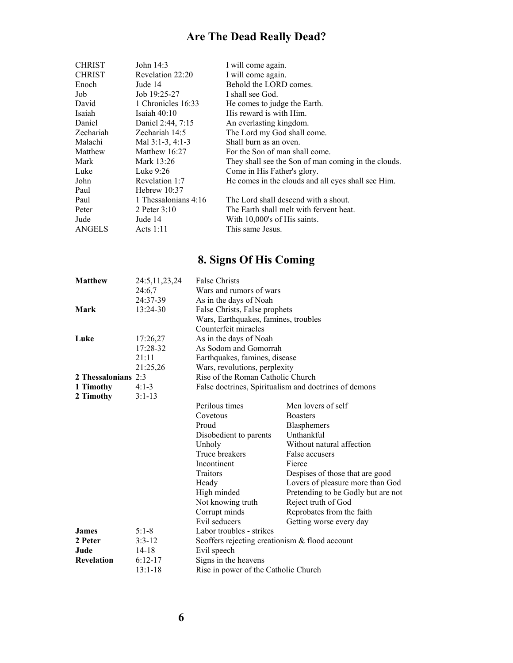| <b>CHRIST</b> | John 14:3            | I will come again.                                  |
|---------------|----------------------|-----------------------------------------------------|
| <b>CHRIST</b> | Revelation 22:20     | I will come again.                                  |
| Enoch         | Jude 14              | Behold the LORD comes.                              |
| Job.          | Job 19:25-27         | I shall see God.                                    |
| David         | 1 Chronicles 16:33   | He comes to judge the Earth.                        |
| Isaiah        | Isaiah $40:10$       | His reward is with Him.                             |
| Daniel        | Daniel 2:44, 7:15    | An everlasting kingdom.                             |
| Zechariah     | Zechariah 14:5       | The Lord my God shall come.                         |
| Malachi       | Mal $3:1-3, 4:1-3$   | Shall burn as an oven.                              |
| Matthew       | Matthew $16:27$      | For the Son of man shall come.                      |
| Mark          | Mark 13:26           | They shall see the Son of man coming in the clouds. |
| Luke          | Luke $9:26$          | Come in His Father's glory.                         |
| John          | Revelation 1:7       | He comes in the clouds and all eyes shall see Him.  |
| Paul          | Hebrew $10:37$       |                                                     |
| Paul          | 1 Thessalonians 4:16 | The Lord shall descend with a shout.                |
| Peter         | 2 Peter $3:10$       | The Earth shall melt with fervent heat.             |
| Jude          | Jude 14              | With 10,000's of His saints.                        |
| <b>ANGELS</b> | Acts $1:11$          | This same Jesus.                                    |

## **8. Signs Of His Coming**

| <b>Matthew</b>      | 24:5, 11, 23, 24 | False Christs                                     |                                                       |  |  |
|---------------------|------------------|---------------------------------------------------|-------------------------------------------------------|--|--|
|                     | 24:6.7           |                                                   | Wars and rumors of wars                               |  |  |
|                     | 24:37-39         | As in the days of Noah                            |                                                       |  |  |
| Mark                | 13:24-30         |                                                   | False Christs, False prophets                         |  |  |
|                     |                  | Wars, Earthquakes, famines, troubles              |                                                       |  |  |
|                     |                  | Counterfeit miracles                              |                                                       |  |  |
| Luke                | 17:26,27         | As in the days of Noah                            |                                                       |  |  |
|                     | 17:28-32         | As Sodom and Gomorrah                             |                                                       |  |  |
|                     | 21:11            | Earthquakes, famines, disease                     |                                                       |  |  |
|                     | 21:25,26         | Wars, revolutions, perplexity                     |                                                       |  |  |
| 2 Thessalonians 2:3 |                  | Rise of the Roman Catholic Church                 |                                                       |  |  |
| 1 Timothy           | $4:1-3$          |                                                   | False doctrines, Spiritualism and doctrines of demons |  |  |
| 2 Timothy           | $3:1-13$         |                                                   |                                                       |  |  |
|                     |                  | Perilous times                                    | Men lovers of self                                    |  |  |
|                     |                  | Covetous                                          | <b>Boasters</b>                                       |  |  |
|                     |                  | Proud                                             | Blasphemers                                           |  |  |
|                     |                  | Disobedient to parents                            | Unthankful                                            |  |  |
|                     |                  | Unholy                                            | Without natural affection                             |  |  |
|                     |                  | Truce breakers                                    | False accusers                                        |  |  |
|                     |                  | Incontinent                                       | Fierce                                                |  |  |
|                     |                  | Traitors                                          | Despises of those that are good                       |  |  |
|                     |                  | Heady                                             | Lovers of pleasure more than God                      |  |  |
|                     |                  | High minded                                       | Pretending to be Godly but are not                    |  |  |
|                     |                  | Not knowing truth                                 | Reject truth of God                                   |  |  |
|                     |                  | Corrupt minds                                     | Reprobates from the faith                             |  |  |
|                     |                  | Evil seducers                                     | Getting worse every day                               |  |  |
| <b>James</b>        | $5:1-8$          | Labor troubles - strikes                          |                                                       |  |  |
| 2 Peter             | $3:3-12$         | Scoffers rejecting creationism $\&$ flood account |                                                       |  |  |
| Jude                | $14 - 18$        | Evil speech                                       |                                                       |  |  |
| <b>Revelation</b>   | $6:12-17$        | Signs in the heavens                              |                                                       |  |  |
|                     | $13:1 - 18$      | Rise in power of the Catholic Church              |                                                       |  |  |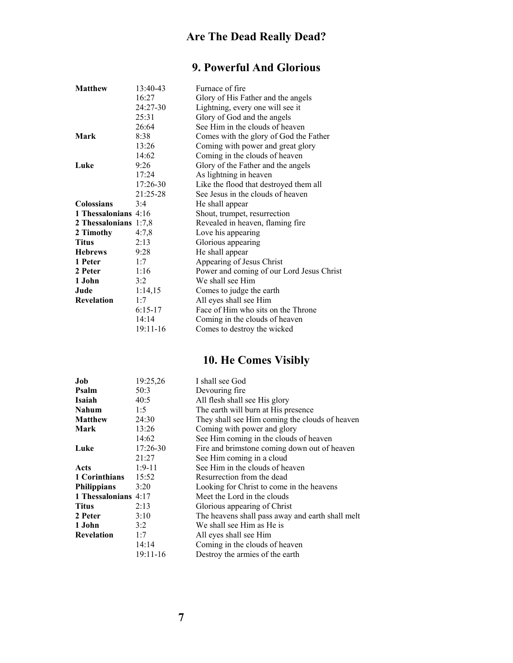## **9. Powerful And Glorious**

| <b>Matthew</b>        | 13:40-43   | Furnace of fire                           |
|-----------------------|------------|-------------------------------------------|
|                       | 16:27      | Glory of His Father and the angels        |
|                       | 24:27-30   | Lightning, every one will see it          |
|                       | 25:31      | Glory of God and the angels               |
|                       | 26:64      | See Him in the clouds of heaven           |
| Mark                  | 8:38       | Comes with the glory of God the Father    |
|                       | 13:26      | Coming with power and great glory         |
|                       | 14:62      | Coming in the clouds of heaven            |
| Luke                  | 9:26       | Glory of the Father and the angels        |
|                       | 17:24      | As lightning in heaven                    |
|                       | $17:26-30$ | Like the flood that destroyed them all    |
|                       | 21:25-28   | See Jesus in the clouds of heaven         |
| <b>Colossians</b>     | 3:4        | He shall appear                           |
| 1 Thessalonians 4:16  |            | Shout, trumpet, resurrection              |
| 2 Thessalonians 1:7,8 |            | Revealed in heaven, flaming fire          |
| 2 Timothy             | 4:7,8      | Love his appearing                        |
| <b>Titus</b>          | 2:13       | Glorious appearing                        |
| <b>Hebrews</b>        | 9:28       | He shall appear                           |
| 1 Peter               | 1:7        | Appearing of Jesus Christ                 |
| 2 Peter               | 1:16       | Power and coming of our Lord Jesus Christ |
| 1 John                | 3:2        | We shall see Him                          |
| Jude                  | 1:14,15    | Comes to judge the earth                  |
| <b>Revelation</b>     | 1:7        | All eyes shall see Him                    |
|                       | $6:15-17$  | Face of Him who sits on the Throne        |
|                       | 14:14      | Coming in the clouds of heaven            |
|                       | 19:11-16   | Comes to destroy the wicked               |

## **10. He Comes Visibly**

| 19:25,26                | I shall see God                                  |
|-------------------------|--------------------------------------------------|
| 50:3                    | Devouring fire                                   |
| 40:5                    | All flesh shall see His glory                    |
| 1:5                     | The earth will burn at His presence              |
| 24:30                   | They shall see Him coming the clouds of heaven   |
| 13:26                   | Coming with power and glory                      |
| 14:62                   | See Him coming in the clouds of heaven           |
| 17:26-30                | Fire and brimstone coming down out of heaven     |
| 21:27                   | See Him coming in a cloud                        |
| $1:9-11$                | See Him in the clouds of heaven                  |
| 15:52                   | Resurrection from the dead                       |
| 3:20                    | Looking for Christ to come in the heavens        |
| 1 Thessalonians<br>4:17 | Meet the Lord in the clouds                      |
| 2:13                    | Glorious appearing of Christ                     |
| 3:10                    | The heavens shall pass away and earth shall melt |
| 3:2                     | We shall see Him as He is                        |
| 1:7                     | All eyes shall see Him                           |
| 14:14                   | Coming in the clouds of heaven                   |
| 19:11-16                | Destroy the armies of the earth                  |
|                         |                                                  |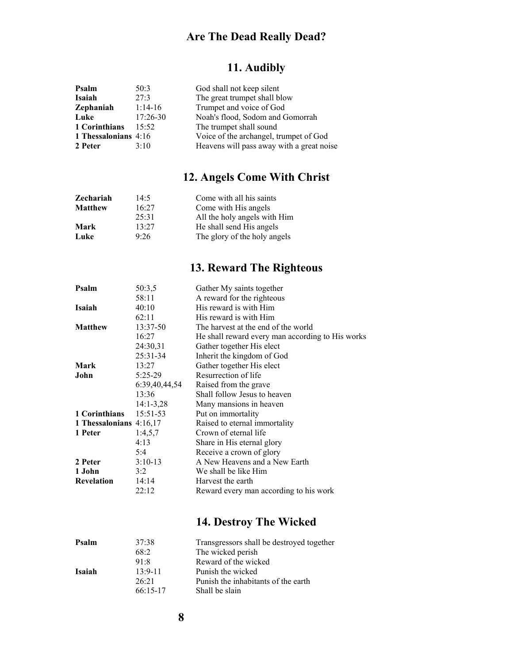## **11. Audibly**

| Psalm                | 50:3         | God shall not keep silent                 |
|----------------------|--------------|-------------------------------------------|
| Isaiah               | 27:3         | The great trumpet shall blow              |
| Zephaniah            | $1:14-16$    | Trumpet and voice of God                  |
| Luke                 | $17:26 - 30$ | Noah's flood, Sodom and Gomorrah          |
| 1 Corinthians        | 15:52        | The trumpet shall sound                   |
| 1 Thessalonians 4:16 |              | Voice of the archangel, trumpet of God    |
| 2 Peter              | 3:10         | Heavens will pass away with a great noise |

## **12. Angels Come With Christ**

| Zechariah      | 14.5  | Come with all his saints     |
|----------------|-------|------------------------------|
| <b>Matthew</b> | 16:27 | Come with His angels         |
|                | 25:31 | All the holy angels with Him |
| Mark           | 13.27 | He shall send His angels     |
| Luke           | 9:26  | The glory of the holy angels |

## **13. Reward The Righteous**

| Psalm                     | 50:3,5        | Gather My saints together                        |
|---------------------------|---------------|--------------------------------------------------|
|                           | 58:11         | A reward for the righteous                       |
| Isaiah                    | 40:10         | His reward is with Him                           |
|                           | 62:11         | His reward is with Him                           |
| <b>Matthew</b>            | 13:37-50      | The harvest at the end of the world              |
|                           | 16:27         | He shall reward every man according to His works |
|                           | 24:30,31      | Gather together His elect                        |
|                           | 25:31-34      | Inherit the kingdom of God                       |
| <b>Mark</b>               | 13:27         | Gather together His elect                        |
| John                      | $5:25-29$     | Resurrection of life                             |
|                           | 6:39,40,44,54 | Raised from the grave                            |
|                           | 13:36         | Shall follow Jesus to heaven                     |
|                           | $14:1 - 3,28$ | Many mansions in heaven.                         |
| 1 Corinthians             | $15:51-53$    | Put on immortality                               |
| 1 Thessalonians $4:16,17$ |               | Raised to eternal immortality                    |
| 1 Peter                   | 1:4,5,7       | Crown of eternal life                            |
|                           | 4:13          | Share in His eternal glory                       |
|                           | 5:4           | Receive a crown of glory                         |
| 2 Peter                   | $3:10-13$     | A New Heavens and a New Earth                    |
| 1 John                    | 3:2           | We shall be like Him                             |
| <b>Revelation</b>         | 14:14         | Harvest the earth                                |
|                           | 22:12         | Reward every man according to his work           |
|                           |               |                                                  |

## **14. Destroy The Wicked**

| Psalm  | 37:38       | Transgressors shall be destroyed together |
|--------|-------------|-------------------------------------------|
|        | 68:2        | The wicked perish                         |
|        | 91.8        | Reward of the wicked                      |
| Isaiah | $13.9 - 11$ | Punish the wicked                         |
|        | 26.21       | Punish the inhabitants of the earth       |
|        | $66:15-17$  | Shall be slain                            |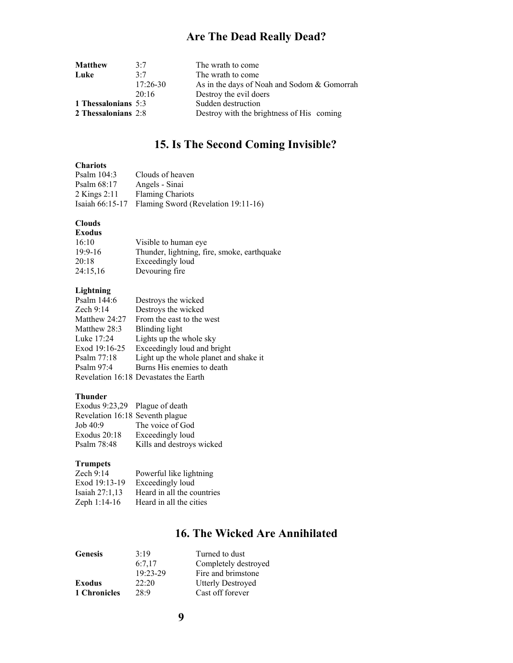| <b>Matthew</b>      | 3.7        | The wrath to come                           |
|---------------------|------------|---------------------------------------------|
| Luke                | 3.7        | The wrath to come                           |
|                     | $17:26-30$ | As in the days of Noah and Sodom & Gomorrah |
|                     | 20:16      | Destroy the evil doers                      |
| 1 Thessalonians 5:3 |            | Sudden destruction                          |
| 2 Thessalonians 2:8 |            | Destroy with the brightness of His coming   |

## **15. Is The Second Coming Invisible?**

### **Chariots**

| <b>ULTAL TULS</b> |                                     |
|-------------------|-------------------------------------|
| Psalm $104:3$     | Clouds of heaven                    |
| Psalm $68:17$     | Angels - Sinai                      |
| 2 Kings $2:11$    | <b>Flaming Chariots</b>             |
| Isaiah $66:15-17$ | Flaming Sword (Revelation 19:11-16) |

#### **Clouds**

| <b>Exodus</b> |                                             |
|---------------|---------------------------------------------|
| 16:10         | Visible to human eye.                       |
| $19:9-16$     | Thunder, lightning, fire, smoke, earthquake |
| 20:18         | Exceedingly loud                            |
| 24:15,16      | Devouring fire                              |

### **Lightning**

| Psalm 144:6    | Destroys the wicked                    |
|----------------|----------------------------------------|
| Zech $9:14$    | Destroys the wicked                    |
| Matthew 24:27  | From the east to the west              |
| Matthew $28:3$ | Blinding light                         |
| Luke 17:24     | Lights up the whole sky                |
| Exod 19:16-25  | Exceedingly loud and bright            |
| Psalm $77:18$  | Light up the whole planet and shake it |
| Psalm $97:4$   | Burns His enemies to death             |
|                | Revelation 16:18 Devastates the Earth  |

#### **Thunder**

| Exodus 9:23,29 Plague of death  |                           |
|---------------------------------|---------------------------|
| Revelation 16:18 Seventh plague |                           |
| Job 40:9                        | The voice of God          |
| Exodus $20:18$                  | Exceedingly loud          |
| Psalm 78:48                     | Kills and destroys wicked |

### **Trumpets**

| Zech $9:14$      | Powerful like lightning    |
|------------------|----------------------------|
| Exod 19:13-19    | Exceedingly loud           |
| Isaiah $27:1,13$ | Heard in all the countries |
| Zeph 1:14-16     | Heard in all the cities    |

### **16. The Wicked Are Annihilated**

| <b>Genesis</b> | 3.19       | Turned to dust           |
|----------------|------------|--------------------------|
|                | 6:7.17     | Completely destroyed     |
|                | $19:23-29$ | Fire and brimstone       |
| <b>Exodus</b>  | 22:20      | <b>Utterly Destroyed</b> |
| 1 Chronicles   | 28.9       | Cast off forever         |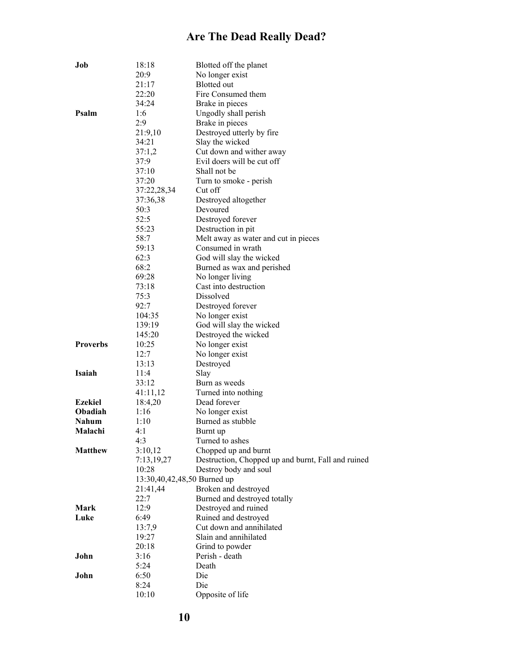| Job             | 18:18<br>20:9 | Blotted off the planet<br>No longer exist            |
|-----------------|---------------|------------------------------------------------------|
|                 | 21:17         | Blotted out                                          |
|                 | 22:20         | Fire Consumed them                                   |
|                 | 34:24         | Brake in pieces                                      |
| Psalm           | 1:6           | Ungodly shall perish                                 |
|                 | 2:9           | Brake in pieces                                      |
|                 | 21:9,10       | Destroyed utterly by fire                            |
|                 | 34:21         | Slay the wicked                                      |
|                 | 37:1,2        | Cut down and wither away                             |
|                 | 37:9          | Evil doers will be cut off                           |
|                 | 37:10         | Shall not be                                         |
|                 | 37:20         | Turn to smoke - perish                               |
|                 | 37:22,28,34   | Cut off                                              |
|                 | 37:36,38      | Destroyed altogether                                 |
|                 | 50:3          | Devoured                                             |
|                 | 52:5          | Destroyed forever                                    |
|                 | 55:23         | Destruction in pit                                   |
|                 | 58:7          | Melt away as water and cut in pieces                 |
|                 | 59:13         | Consumed in wrath                                    |
|                 | 62:3          | God will slay the wicked                             |
|                 | 68:2          | Burned as wax and perished                           |
|                 | 69:28         | No longer living                                     |
|                 | 73:18         | Cast into destruction                                |
|                 | 75:3          | Dissolved                                            |
|                 | 92:7          | Destroyed forever                                    |
|                 | 104:35        | No longer exist                                      |
|                 | 139:19        | God will slay the wicked                             |
|                 | 145:20        | Destroyed the wicked                                 |
| <b>Proverbs</b> | 10:25         | No longer exist                                      |
|                 | 12:7          | No longer exist                                      |
|                 | 13:13         | Destroyed                                            |
| Isaiah          | 11:4          | Slay                                                 |
|                 | 33:12         | Burn as weeds                                        |
|                 | 41:11,12      | Turned into nothing                                  |
| <b>Ezekiel</b>  | 18:4,20       | Dead forever                                         |
| <b>Obadiah</b>  | 1:16          | No longer exist                                      |
| <b>Nahum</b>    | 1:10          | Burned as stubble                                    |
| Malachi         | 4:1           | Burnt up                                             |
|                 | 4:3           | Turned to ashes                                      |
| <b>Matthew</b>  | 3:10,12       | Chopped up and burnt                                 |
|                 | 7:13,19,27    | Destruction, Chopped up and burnt, Fall and ruined   |
|                 | 10:28         | Destroy body and soul<br>13:30,40,42,48,50 Burned up |
|                 | 21:41,44      | Broken and destroyed                                 |
|                 | 22:7          | Burned and destroyed totally                         |
| Mark            | 12:9          | Destroyed and ruined                                 |
| Luke            | 6:49          | Ruined and destroyed                                 |
|                 | 13:7,9        | Cut down and annihilated                             |
|                 | 19:27         | Slain and annihilated                                |
|                 | 20:18         | Grind to powder                                      |
| John            | 3:16          | Perish - death                                       |
|                 | 5:24          | Death                                                |
| John            | 6:50          | Die                                                  |
|                 | 8:24          | Die                                                  |
|                 | 10:10         | Opposite of life                                     |
|                 |               |                                                      |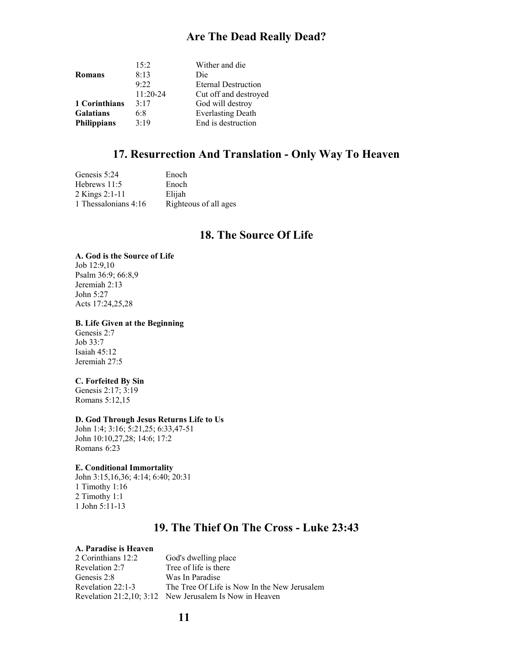| 15:2       | Wither and die             |
|------------|----------------------------|
| 8:13       | Die                        |
| 9.22       | <b>Eternal Destruction</b> |
| $11:20-24$ | Cut off and destroyed      |
| 3:17       | God will destroy           |
| 6:8        | <b>Everlasting Death</b>   |
| 3:19       | End is destruction         |
|            |                            |

### **17. Resurrection And Translation - Only Way To Heaven**

| Genesis 5:24         | Enoch                 |
|----------------------|-----------------------|
| Hebrews 11:5         | Enoch                 |
| 2 Kings 2:1-11       | Elijah                |
| 1 Thessalonians 4:16 | Righteous of all ages |

### **18. The Source Of Life**

### **A. God is the Source of Life**

Job 12:9,10 Psalm 36:9; 66:8,9 Jeremiah 2:13 John 5:27 Acts 17:24,25,28

#### **B. Life Given at the Beginning**

Genesis 2:7 Job 33:7 Isaiah 45:12 Jeremiah 27:5

#### **C. Forfeited By Sin**

Genesis 2:17; 3:19 Romans 5:12,15

#### **D. God Through Jesus Returns Life to Us**

John 1:4; 3:16; 5:21,25; 6:33,47-51 John 10:10,27,28; 14:6; 17:2 Romans 6:23

#### **E. Conditional Immortality**

John 3:15,16,36; 4:14; 6:40; 20:31 1 Timothy 1:16 2 Timothy 1:1 1 John 5:11-13

### **19. The Thief On The Cross - Luke 23:43**

#### **A. Paradise is Heaven**

2 Corinthians 12:2 God's dwelling place Revelation 2:7 Tree of life is there Genesis 2:8 Was In Paradise Revelation 22:1-3 The Tree Of Life is Now In the New Jerusalem Revelation 21:2,10; 3:12 New Jerusalem Is Now in Heaven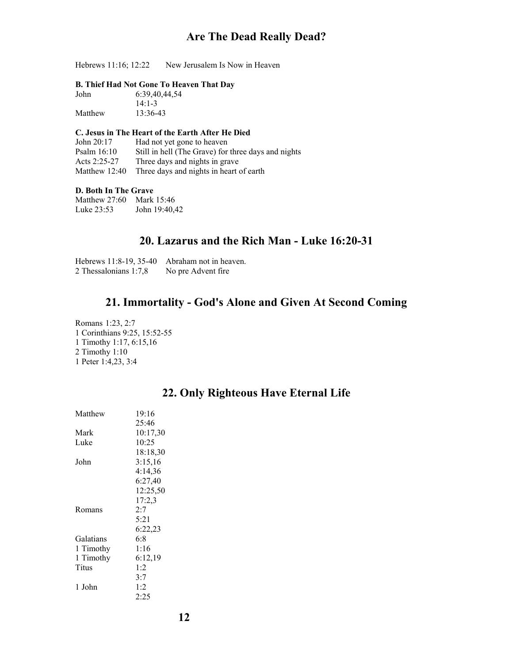Hebrews 11:16; 12:22 New Jerusalem Is Now in Heaven

#### **B. Thief Had Not Gone To Heaven That Day**

| John    | 6:39,40,44,54 |
|---------|---------------|
|         | $14:1 - 3$    |
| Matthew | 13:36-43      |

#### **C. Jesus in The Heart of the Earth After He Died**

John 20:17 Had not yet gone to heaven Psalm 16:10 Still in hell (The Grave) for three days and nights Acts 2:25-27 Three days and nights in grave Matthew 12:40 Three days and nights in heart of earth

#### **D. Both In The Grave**

Matthew 27:60 Mark 15:46 Luke 23:53 John 19:40,42

### **20. Lazarus and the Rich Man - Luke 16:20-31**

| Hebrews 11:8-19, 35-40 | Abraham not in heaven. |
|------------------------|------------------------|
| 2 Thessalonians 1:7,8  | No pre Advent fire     |

### **21. Immortality - God's Alone and Given At Second Coming**

Romans 1:23, 2:7 1 Corinthians 9:25, 15:52-55 1 Timothy 1:17, 6:15,16 2 Timothy 1:10 1 Peter 1:4,23, 3:4

| Matthew   | 19:16    |
|-----------|----------|
|           | 25:46    |
| Mark      | 10:17,30 |
| Luke      | 10:25    |
|           | 18:18.30 |
| John      | 3:15,16  |
|           | 4:14,36  |
|           | 6:27,40  |
|           | 12:25,50 |
|           | 17:2,3   |
| Romans    | 2:7      |
|           | 5:21     |
|           | 6:22,23  |
| Galatians | 6:8      |
| 1 Timothy | 1:16     |
| 1 Timothy | 6:12.19  |
| Titus     | 1.2      |
|           | 3:7      |
| 1 John    | 1:2      |
|           | 2:25     |

### **22. Only Righteous Have Eternal Life**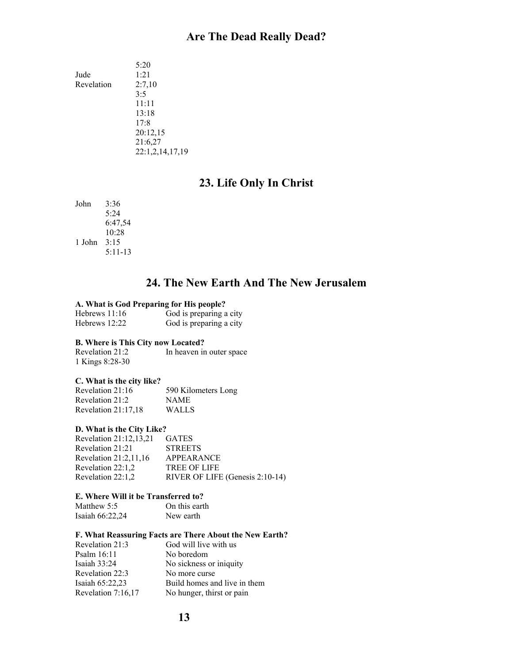5:20 Jude 1:21 Revelation 2:7,10 3:5 11:11 13:18 17:8 20:12,15 21:6,27 22:1,2,14,17,19

### **23. Life Only In Christ**

John 3:36 5:24 6:47,54 10:28 1 John 3:15 5:11-13

### **24. The New Earth And The New Jerusalem**

#### **A. What is God Preparing for His people?**

| Hebrews 11:16 |              |  | God is preparing a city |  |
|---------------|--------------|--|-------------------------|--|
| TT 1          | $\sim$ 10.00 |  |                         |  |

| God is preparing a city |
|-------------------------|
|                         |

#### **B. Where is This City now Located?**

Revelation 21:2 In heaven in outer space 1 Kings 8:28-30

#### **C. What is the city like?**

Revelation 21:16 590 Kilometers Long Revelation 21:2 NAME Revelation 21:17,18 WALLS

#### **D. What is the City Like?**

Revelation 21:12,13,21 GATES Revelation 21:21 STREETS Revelation 21:2,11,16 APPEARANCE Revelation 22:1,2 TREE OF LIFE Revelation 22:1,2 RIVER OF LIFE (Genesis 2:10-14)

### **E. Where Will it be Transferred to?**

Matthew 5:5 On this earth Isaiah 66:22,24 New earth

#### **F. What Reassuring Facts are There About the New Earth?**

| Revelation 21:3    | God will live with us        |
|--------------------|------------------------------|
| Psalm $16:11$      | No boredom                   |
| Isaiah $33:24$     | No sickness or iniquity      |
| Revelation 22:3    | No more curse                |
| Isaiah $65:22,23$  | Build homes and live in them |
| Revelation 7:16,17 | No hunger, thirst or pain    |